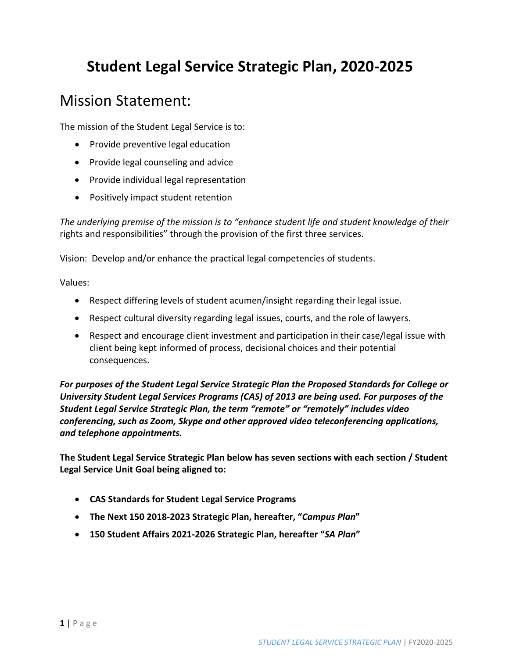# **Student Legal Service Strategic Plan, 2020-2025**

## Mission Statement:

The mission of the Student Legal Service is to:

- Provide preventive legal education
- Provide legal counseling and advice
- Provide individual legal representation
- Positively impact student retention

*The underlying premise of the mission is to "enhance student life and student knowledge of their* rights and responsibilities" through the provision of the first three services.

Vision: Develop and/or enhance the practical legal competencies of students.

Values:

- Respect differing levels of student acumen/insight regarding their legal issue.
- Respect cultural diversity regarding legal issues, courts, and the role of lawyers.
- Respect and encourage client investment and participation in their case/legal issue with client being kept informed of process, decisional choices and their potential consequences.

*For purposes of the Student Legal Service Strategic Plan the Proposed Standards for College or University Student Legal Services Programs (CAS) of 2013 are being used. For purposes of the Student Legal Service Strategic Plan, the term "remote" or "remotely" includes video conferencing, such as Zoom, Skype and other approved video teleconferencing applications, and telephone appointments.*

**The Student Legal Service Strategic Plan below has seven sections with each section / Student Legal Service Unit Goal being aligned to:**

- **CAS Standards for Student Legal Service Programs**
- **The Next 150 2018-2023 Strategic Plan, hereafter, "***Campus Plan***"**
- **150 Student Affairs 2021-2026 Strategic Plan, hereafter "***SA Plan***"**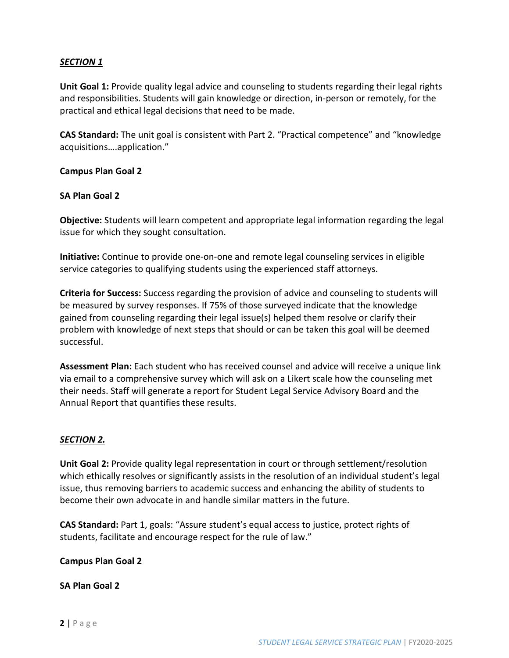#### *SECTION 1*

**Unit Goal 1:** Provide quality legal advice and counseling to students regarding their legal rights and responsibilities. Students will gain knowledge or direction, in-person or remotely, for the practical and ethical legal decisions that need to be made.

**CAS Standard:** The unit goal is consistent with Part 2. "Practical competence" and "knowledge acquisitions….application."

#### **Campus Plan Goal 2**

#### **SA Plan Goal 2**

**Objective:** Students will learn competent and appropriate legal information regarding the legal issue for which they sought consultation.

**Initiative:** Continue to provide one-on-one and remote legal counseling services in eligible service categories to qualifying students using the experienced staff attorneys.

**Criteria for Success:** Success regarding the provision of advice and counseling to students will be measured by survey responses. If 75% of those surveyed indicate that the knowledge gained from counseling regarding their legal issue(s) helped them resolve or clarify their problem with knowledge of next steps that should or can be taken this goal will be deemed successful.

**Assessment Plan:** Each student who has received counsel and advice will receive a unique link via email to a comprehensive survey which will ask on a Likert scale how the counseling met their needs. Staff will generate a report for Student Legal Service Advisory Board and the Annual Report that quantifies these results.

#### *SECTION 2.*

**Unit Goal 2:** Provide quality legal representation in court or through settlement/resolution which ethically resolves or significantly assists in the resolution of an individual student's legal issue, thus removing barriers to academic success and enhancing the ability of students to become their own advocate in and handle similar matters in the future.

**CAS Standard:** Part 1, goals: "Assure student's equal access to justice, protect rights of students, facilitate and encourage respect for the rule of law."

#### **Campus Plan Goal 2**

#### **SA Plan Goal 2**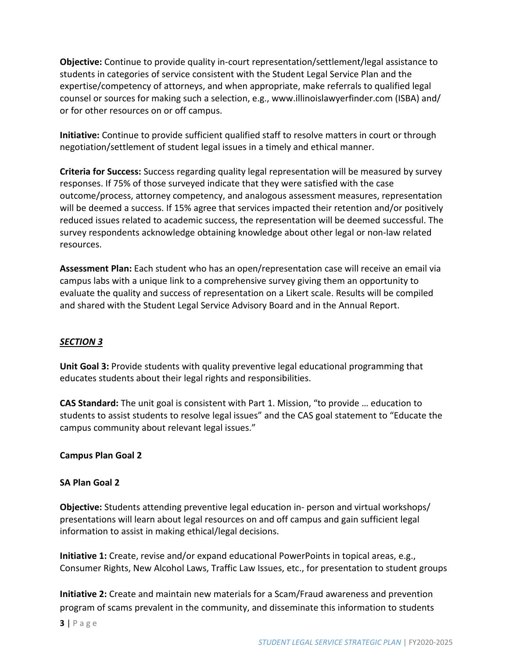**Objective:** Continue to provide quality in-court representation/settlement/legal assistance to students in categories of service consistent with the Student Legal Service Plan and the expertise/competency of attorneys, and when appropriate, make referrals to qualified legal counsel or sources for making such a selection, e.g., [www.illinoislawyerfinder.com \(](http://www.illinoislawyerfinder.com/)ISBA) and/ or for other resources on or off campus.

**Initiative:** Continue to provide sufficient qualified staff to resolve matters in court or through negotiation/settlement of student legal issues in a timely and ethical manner.

**Criteria for Success:** Success regarding quality legal representation will be measured by survey responses. If 75% of those surveyed indicate that they were satisfied with the case outcome/process, attorney competency, and analogous assessment measures, representation will be deemed a success. If 15% agree that services impacted their retention and/or positively reduced issues related to academic success, the representation will be deemed successful. The survey respondents acknowledge obtaining knowledge about other legal or non-law related resources.

**Assessment Plan:** Each student who has an open/representation case will receive an email via campus labs with a unique link to a comprehensive survey giving them an opportunity to evaluate the quality and success of representation on a Likert scale. Results will be compiled and shared with the Student Legal Service Advisory Board and in the Annual Report.

## *SECTION 3*

**Unit Goal 3:** Provide students with quality preventive legal educational programming that educates students about their legal rights and responsibilities.

**CAS Standard:** The unit goal is consistent with Part 1. Mission, "to provide … education to students to assist students to resolve legal issues" and the CAS goal statement to "Educate the campus community about relevant legal issues."

## **Campus Plan Goal 2**

## **SA Plan Goal 2**

**Objective:** Students attending preventive legal education in- person and virtual workshops/ presentations will learn about legal resources on and off campus and gain sufficient legal information to assist in making ethical/legal decisions.

**Initiative 1:** Create, revise and/or expand educational PowerPoints in topical areas, e.g., Consumer Rights, New Alcohol Laws, Traffic Law Issues, etc., for presentation to student groups

**Initiative 2:** Create and maintain new materials for a Scam/Fraud awareness and prevention program of scams prevalent in the community, and disseminate this information to students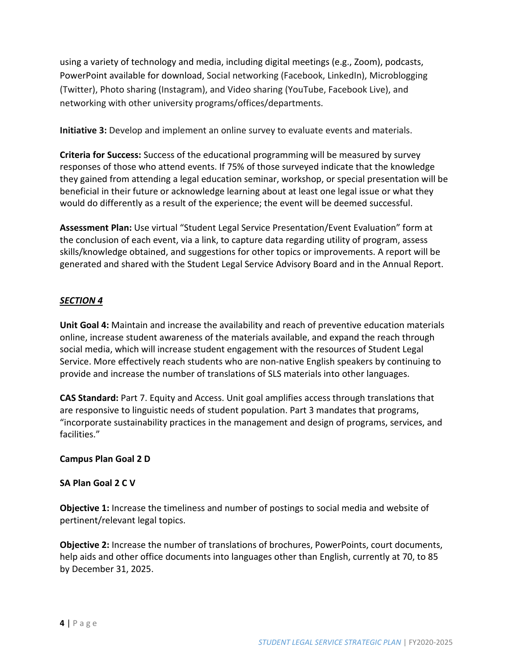using a variety of technology and media, including digital meetings (e.g., Zoom), podcasts, PowerPoint available for download, Social networking (Facebook, LinkedIn), Microblogging (Twitter), Photo sharing (Instagram), and Video sharing (YouTube, Facebook Live), and networking with other university programs/offices/departments.

**Initiative 3:** Develop and implement an online survey to evaluate events and materials.

**Criteria for Success:** Success of the educational programming will be measured by survey responses of those who attend events. If 75% of those surveyed indicate that the knowledge they gained from attending a legal education seminar, workshop, or special presentation will be beneficial in their future or acknowledge learning about at least one legal issue or what they would do differently as a result of the experience; the event will be deemed successful.

**Assessment Plan:** Use virtual "Student Legal Service Presentation/Event Evaluation" form at the conclusion of each event, via a link, to capture data regarding utility of program, assess skills/knowledge obtained, and suggestions for other topics or improvements. A report will be generated and shared with the Student Legal Service Advisory Board and in the Annual Report.

#### *SECTION 4*

**Unit Goal 4:** Maintain and increase the availability and reach of preventive education materials online, increase student awareness of the materials available, and expand the reach through social media, which will increase student engagement with the resources of Student Legal Service. More effectively reach students who are non-native English speakers by continuing to provide and increase the number of translations of SLS materials into other languages.

**CAS Standard:** Part 7. Equity and Access. Unit goal amplifies access through translations that are responsive to linguistic needs of student population. Part 3 mandates that programs, "incorporate sustainability practices in the management and design of programs, services, and facilities."

#### **Campus Plan Goal 2 D**

#### **SA Plan Goal 2 C V**

**Objective 1:** Increase the timeliness and number of postings to social media and website of pertinent/relevant legal topics.

**Objective 2:** Increase the number of translations of brochures, PowerPoints, court documents, help aids and other office documents into languages other than English, currently at 70, to 85 by December 31, 2025.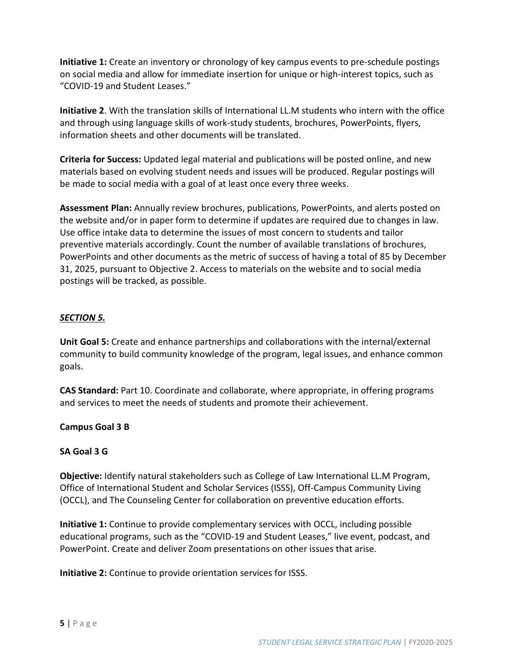**Initiative 1:** Create an inventory or chronology of key campus events to pre-schedule postings on social media and allow for immediate insertion for unique or high-interest topics, such as "COVID-19 and Student Leases."

**Initiative 2**. With the translation skills of International LL.M students who intern with the office and through using language skills of work-study students, brochures, PowerPoints, flyers, information sheets and other documents will be translated.

**Criteria for Success:** Updated legal material and publications will be posted online, and new materials based on evolving student needs and issues will be produced. Regular postings will be made to social media with a goal of at least once every three weeks.

**Assessment Plan:** Annually review brochures, publications, PowerPoints, and alerts posted on the website and/or in paper form to determine if updates are required due to changes in law. Use office intake data to determine the issues of most concern to students and tailor preventive materials accordingly. Count the number of available translations of brochures, PowerPoints and other documents as the metric of success of having a total of 85 by December 31, 2025, pursuant to Objective 2. Access to materials on the website and to social media postings will be tracked, as possible.

#### *SECTION 5.*

**Unit Goal 5:** Create and enhance partnerships and collaborations with the internal/external community to build community knowledge of the program, legal issues, and enhance common goals.

**CAS Standard:** Part 10. Coordinate and collaborate, where appropriate, in offering programs and services to meet the needs of students and promote their achievement.

**Campus Goal 3 B**

#### **SA Goal 3 G**

**Objective:** Identify natural stakeholders such as College of Law International LL.M Program, Office of International Student and Scholar Services (ISSS), Off-Campus Community Living (OCCL), and The Counseling Center for collaboration on preventive education efforts.

**Initiative 1:** Continue to provide complementary services with OCCL, including possible educational programs, such as the "COVID-19 and Student Leases," live event, podcast, and PowerPoint. Create and deliver Zoom presentations on other issues that arise.

**Initiative 2:** Continue to provide orientation services for ISSS.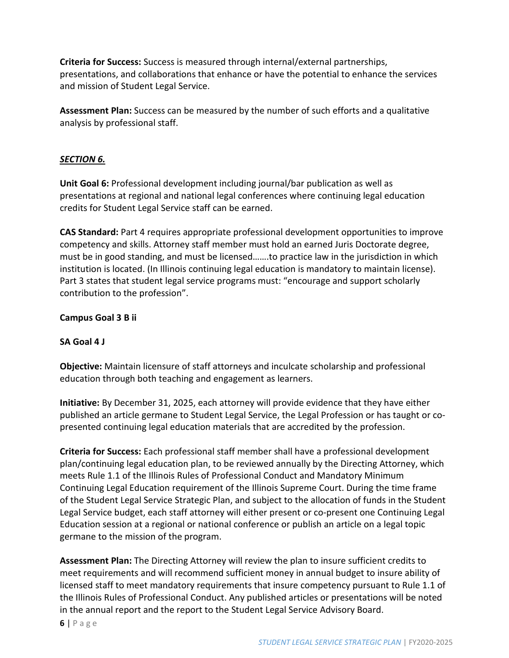**Criteria for Success:** Success is measured through internal/external partnerships, presentations, and collaborations that enhance or have the potential to enhance the services and mission of Student Legal Service.

**Assessment Plan:** Success can be measured by the number of such efforts and a qualitative analysis by professional staff.

## *SECTION 6.*

**Unit Goal 6:** Professional development including journal/bar publication as well as presentations at regional and national legal conferences where continuing legal education credits for Student Legal Service staff can be earned.

**CAS Standard:** Part 4 requires appropriate professional development opportunities to improve competency and skills. Attorney staff member must hold an earned Juris Doctorate degree, must be in good standing, and must be licensed…….to practice law in the jurisdiction in which institution is located. (In Illinois continuing legal education is mandatory to maintain license). Part 3 states that student legal service programs must: "encourage and support scholarly contribution to the profession".

## **Campus Goal 3 B ii**

## **SA Goal 4 J**

**Objective:** Maintain licensure of staff attorneys and inculcate scholarship and professional education through both teaching and engagement as learners.

**Initiative:** By December 31, 2025, each attorney will provide evidence that they have either published an article germane to Student Legal Service, the Legal Profession or has taught or copresented continuing legal education materials that are accredited by the profession.

**Criteria for Success:** Each professional staff member shall have a professional development plan/continuing legal education plan, to be reviewed annually by the Directing Attorney, which meets Rule 1.1 of the Illinois Rules of Professional Conduct and Mandatory Minimum Continuing Legal Education requirement of the Illinois Supreme Court. During the time frame of the Student Legal Service Strategic Plan, and subject to the allocation of funds in the Student Legal Service budget, each staff attorney will either present or co-present one Continuing Legal Education session at a regional or national conference or publish an article on a legal topic germane to the mission of the program.

**Assessment Plan:** The Directing Attorney will review the plan to insure sufficient credits to meet requirements and will recommend sufficient money in annual budget to insure ability of licensed staff to meet mandatory requirements that insure competency pursuant to Rule 1.1 of the Illinois Rules of Professional Conduct. Any published articles or presentations will be noted in the annual report and the report to the Student Legal Service Advisory Board.